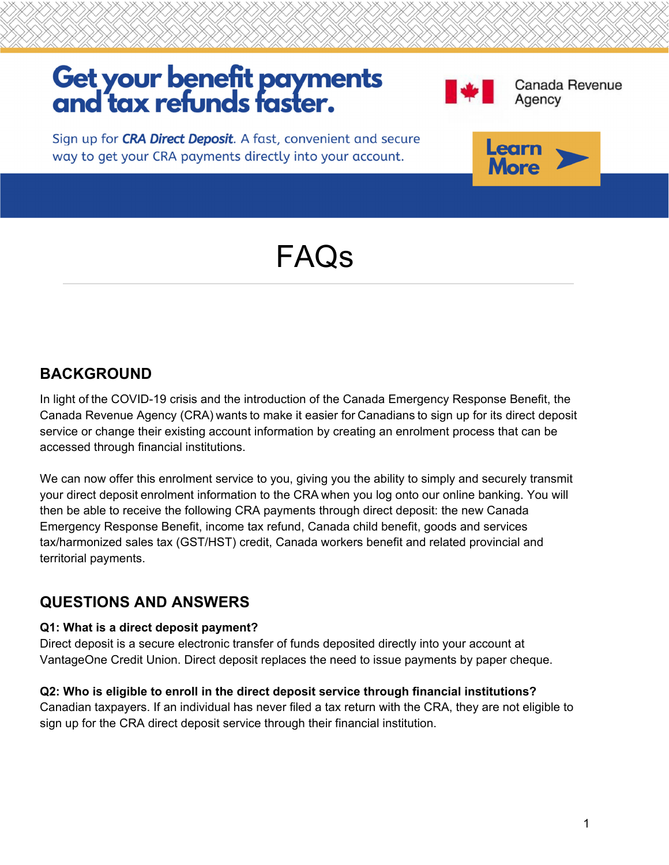# Get your benefit payments<br>and tax refunds faster.



Canada Revenue Agency

Sign up for CRA Direct Deposit. A fast, convenient and secure way to get your CRA payments directly into your account.



# FAQs

## **BACKGROUND**

In light of the COVID-19 crisis and the introduction of the Canada Emergency Response Benefit, the Canada Revenue Agency (CRA) wants to make it easier for Canadians to sign up for its direct deposit service or change their existing account information by creating an enrolment process that can be accessed through financial institutions.

We can now offer this enrolment service to you, giving you the ability to simply and securely transmit your direct deposit enrolment information to the CRA when you log onto our online banking. You will then be able to receive the following CRA payments through direct deposit: the new Canada Emergency Response Benefit, income tax refund, Canada child benefit, goods and services tax/harmonized sales tax (GST/HST) credit, Canada workers benefit and related provincial and territorial payments.

### **QUESTIONS AND ANSWERS**

#### **Q1: What is a direct deposit payment?**

Direct deposit is a secure electronic transfer of funds deposited directly into your account at VantageOne Credit Union. Direct deposit replaces the need to issue payments by paper cheque.

#### **Q2: Who is eligible to enroll in the direct deposit service through financial institutions?**

Canadian taxpayers. If an individual has never filed a tax return with the CRA, they are not eligible to sign up for the CRA direct deposit service through their financial institution.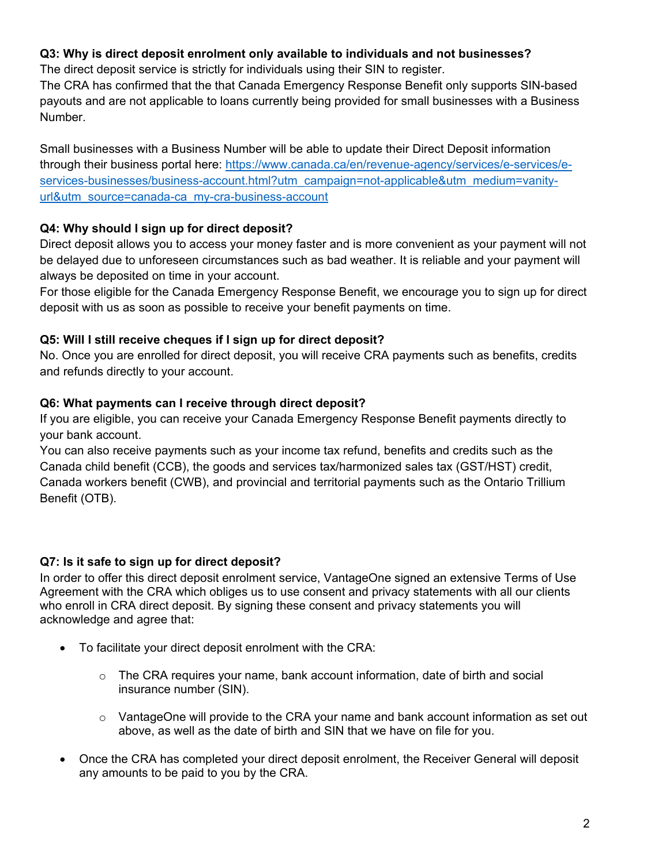#### **Q3: Why is direct deposit enrolment only available to individuals and not businesses?**

The direct deposit service is strictly for individuals using their SIN to register.

The CRA has confirmed that the that Canada Emergency Response Benefit only supports SIN-based payouts and are not applicable to loans currently being provided for small businesses with a Business Number.

Small businesses with a Business Number will be able to update their Direct Deposit information through their business portal here: https://www.canada.ca/en/revenue-agency/services/e-services/eservices-businesses/business-account.html?utm\_campaign=not-applicable&utm\_medium=vanityurl&utm\_source=canada-ca\_my-cra-business-account

#### **Q4: Why should I sign up for direct deposit?**

Direct deposit allows you to access your money faster and is more convenient as your payment will not be delayed due to unforeseen circumstances such as bad weather. It is reliable and your payment will always be deposited on time in your account.

For those eligible for the Canada Emergency Response Benefit, we encourage you to sign up for direct deposit with us as soon as possible to receive your benefit payments on time.

#### **Q5: Will I still receive cheques if I sign up for direct deposit?**

No. Once you are enrolled for direct deposit, you will receive CRA payments such as benefits, credits and refunds directly to your account.

#### **Q6: What payments can I receive through direct deposit?**

If you are eligible, you can receive your Canada Emergency Response Benefit payments directly to your bank account.

You can also receive payments such as your income tax refund, benefits and credits such as the Canada child benefit (CCB), the goods and services tax/harmonized sales tax (GST/HST) credit, Canada workers benefit (CWB), and provincial and territorial payments such as the Ontario Trillium Benefit (OTB).

#### **Q7: Is it safe to sign up for direct deposit?**

In order to offer this direct deposit enrolment service, VantageOne signed an extensive Terms of Use Agreement with the CRA which obliges us to use consent and privacy statements with all our clients who enroll in CRA direct deposit. By signing these consent and privacy statements you will acknowledge and agree that:

- To facilitate your direct deposit enrolment with the CRA:
	- $\circ$  The CRA requires your name, bank account information, date of birth and social insurance number (SIN).
	- $\circ$  VantageOne will provide to the CRA your name and bank account information as set out above, as well as the date of birth and SIN that we have on file for you.
- Once the CRA has completed your direct deposit enrolment, the Receiver General will deposit any amounts to be paid to you by the CRA.